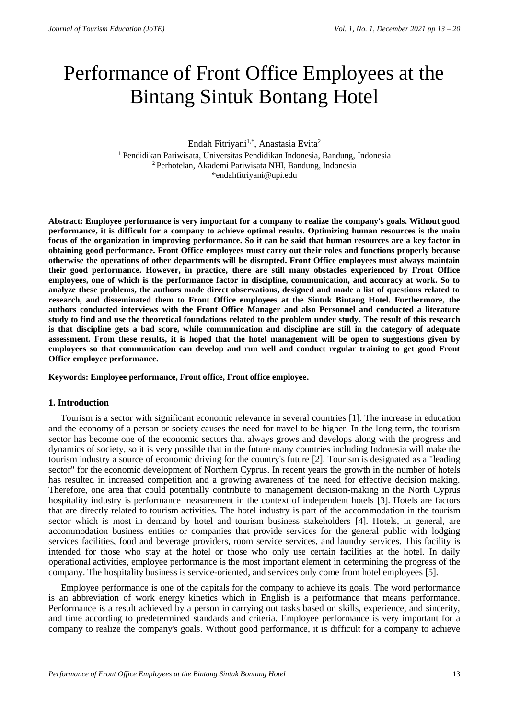# Performance of Front Office Employees at the Bintang Sintuk Bontang Hotel

## Endah Fitriyani<sup>1,\*</sup>, Anastasia Evita<sup>2</sup>

<sup>1</sup> Pendidikan Pariwisata, Universitas Pendidikan Indonesia, Bandung, Indonesia <sup>2</sup>Perhotelan, Akademi Pariwisata NHI, Bandung, Indonesia \*endahfitriyani@upi.edu

**Abstract: Employee performance is very important for a company to realize the company's goals. Without good performance, it is difficult for a company to achieve optimal results. Optimizing human resources is the main focus of the organization in improving performance. So it can be said that human resources are a key factor in obtaining good performance. Front Office employees must carry out their roles and functions properly because otherwise the operations of other departments will be disrupted. Front Office employees must always maintain their good performance. However, in practice, there are still many obstacles experienced by Front Office employees, one of which is the performance factor in discipline, communication, and accuracy at work. So to analyze these problems, the authors made direct observations, designed and made a list of questions related to research, and disseminated them to Front Office employees at the Sintuk Bintang Hotel. Furthermore, the authors conducted interviews with the Front Office Manager and also Personnel and conducted a literature study to find and use the theoretical foundations related to the problem under study. The result of this research is that discipline gets a bad score, while communication and discipline are still in the category of adequate assessment. From these results, it is hoped that the hotel management will be open to suggestions given by employees so that communication can develop and run well and conduct regular training to get good Front Office employee performance.**

**Keywords: Employee performance, Front office, Front office employee.**

## **1. Introduction**

Tourism is a sector with significant economic relevance in several countries [1]. The increase in education and the economy of a person or society causes the need for travel to be higher. In the long term, the tourism sector has become one of the economic sectors that always grows and develops along with the progress and dynamics of society, so it is very possible that in the future many countries including Indonesia will make the tourism industry a source of economic driving for the country's future [2]. Tourism is designated as a "leading sector" for the economic development of Northern Cyprus. In recent years the growth in the number of hotels has resulted in increased competition and a growing awareness of the need for effective decision making. Therefore, one area that could potentially contribute to management decision-making in the North Cyprus hospitality industry is performance measurement in the context of independent hotels [3]. Hotels are factors that are directly related to tourism activities. The hotel industry is part of the accommodation in the tourism sector which is most in demand by hotel and tourism business stakeholders [4]. Hotels, in general, are accommodation business entities or companies that provide services for the general public with lodging services facilities, food and beverage providers, room service services, and laundry services. This facility is intended for those who stay at the hotel or those who only use certain facilities at the hotel. In daily operational activities, employee performance is the most important element in determining the progress of the company. The hospitality business is service-oriented, and services only come from hotel employees [5].

Employee performance is one of the capitals for the company to achieve its goals. The word performance is an abbreviation of work energy kinetics which in English is a performance that means performance. Performance is a result achieved by a person in carrying out tasks based on skills, experience, and sincerity, and time according to predetermined standards and criteria. Employee performance is very important for a company to realize the company's goals. Without good performance, it is difficult for a company to achieve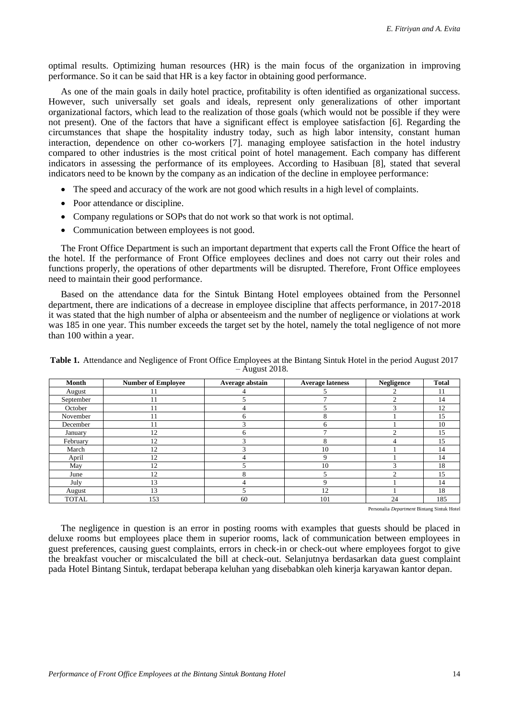optimal results. Optimizing human resources (HR) is the main focus of the organization in improving performance. So it can be said that HR is a key factor in obtaining good performance.

As one of the main goals in daily hotel practice, profitability is often identified as organizational success. However, such universally set goals and ideals, represent only generalizations of other important organizational factors, which lead to the realization of those goals (which would not be possible if they were not present). One of the factors that have a significant effect is employee satisfaction [6]. Regarding the circumstances that shape the hospitality industry today, such as high labor intensity, constant human interaction, dependence on other co-workers [7]. managing employee satisfaction in the hotel industry compared to other industries is the most critical point of hotel management. Each company has different indicators in assessing the performance of its employees. According to Hasibuan [8], stated that several indicators need to be known by the company as an indication of the decline in employee performance:

- The speed and accuracy of the work are not good which results in a high level of complaints.
- Poor attendance or discipline.
- Company regulations or SOPs that do not work so that work is not optimal.
- Communication between employees is not good.

The Front Office Department is such an important department that experts call the Front Office the heart of the hotel. If the performance of Front Office employees declines and does not carry out their roles and functions properly, the operations of other departments will be disrupted. Therefore, Front Office employees need to maintain their good performance.

Based on the attendance data for the Sintuk Bintang Hotel employees obtained from the Personnel department, there are indications of a decrease in employee discipline that affects performance, in 2017-2018 it was stated that the high number of alpha or absenteeism and the number of negligence or violations at work was 185 in one year. This number exceeds the target set by the hotel, namely the total negligence of not more than 100 within a year.

| <b>Month</b> | <b>Number of Employee</b> | Average abstain             | <b>Average lateness</b> | <b>Negligence</b> | <b>Total</b> |
|--------------|---------------------------|-----------------------------|-------------------------|-------------------|--------------|
| August       | 11                        |                             |                         |                   | 11           |
| September    | 11                        |                             |                         |                   | 14           |
| October      | 11                        | 4                           |                         |                   | 12           |
| November     | 11                        | h                           | 8                       |                   | 15           |
| December     | 11                        | $\mathcal{L}_{\mathcal{L}}$ | 6                       |                   | 10           |
| January      | 12                        | o                           |                         |                   | 15           |
| February     | 12                        | ⌒                           | 8                       |                   | 15           |
| March        | 12                        |                             | 10                      |                   | 14           |
| April        | 12                        |                             | Q                       |                   | 14           |
| May          | 12                        |                             | 10                      |                   | 18           |
| June         | 12                        |                             |                         |                   | 15           |
| July         | 13                        |                             | 9                       |                   | 14           |
| August       | 13                        |                             | 12                      |                   | 18           |
| <b>TOTAL</b> | 153                       | 60                          | 101                     | 24                | 185          |

**Table 1.** Attendance and Negligence of Front Office Employees at the Bintang Sintuk Hotel in the period August 2017 – August 2018.

Personalia *Department* Bintang Sintuk Hotel

The negligence in question is an error in posting rooms with examples that guests should be placed in deluxe rooms but employees place them in superior rooms, lack of communication between employees in guest preferences, causing guest complaints, errors in check-in or check-out where employees forgot to give the breakfast voucher or miscalculated the bill at check-out. Selanjutnya berdasarkan data guest complaint pada Hotel Bintang Sintuk, terdapat beberapa keluhan yang disebabkan oleh kinerja karyawan kantor depan.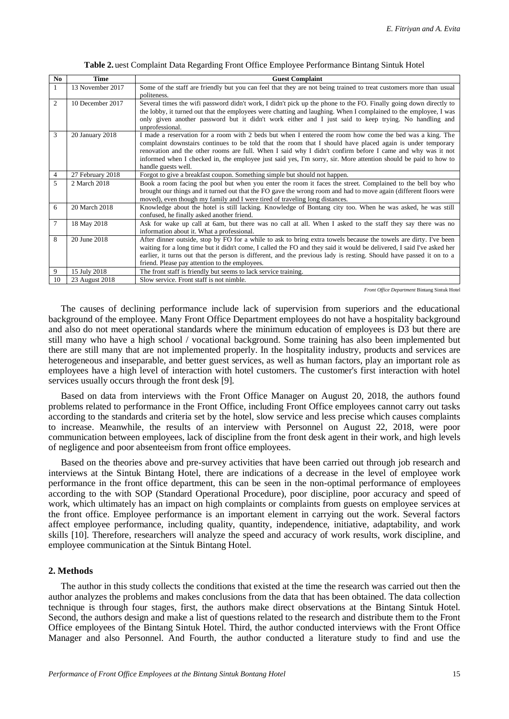|  | Table 2. uest Complaint Data Regarding Front Office Employee Performance Bintang Sintuk Hotel |
|--|-----------------------------------------------------------------------------------------------|
|  |                                                                                               |

| N <sub>0</sub> | <b>Time</b>      | <b>Guest Complaint</b>                                                                                                                                                                                                                                                                                                                                                                                                                                                         |
|----------------|------------------|--------------------------------------------------------------------------------------------------------------------------------------------------------------------------------------------------------------------------------------------------------------------------------------------------------------------------------------------------------------------------------------------------------------------------------------------------------------------------------|
| $\mathbf{1}$   | 13 November 2017 | Some of the staff are friendly but you can feel that they are not being trained to treat customers more than usual<br>politeness.                                                                                                                                                                                                                                                                                                                                              |
| 2              | 10 December 2017 | Several times the wifi password didn't work, I didn't pick up the phone to the FO. Finally going down directly to<br>the lobby, it turned out that the employees were chatting and laughing. When I complained to the employee, I was<br>only given another password but it didn't work either and I just said to keep trying. No handling and<br>unprofessional.                                                                                                              |
| 3              | 20 January 2018  | I made a reservation for a room with 2 beds but when I entered the room how come the bed was a king. The<br>complaint downstairs continues to be told that the room that I should have placed again is under temporary<br>renovation and the other rooms are full. When I said why I didn't confirm before I came and why was it not<br>informed when I checked in, the employee just said yes, I'm sorry, sir. More attention should be paid to how to<br>handle guests well. |
| 4              | 27 February 2018 | Forgot to give a breakfast coupon. Something simple but should not happen.                                                                                                                                                                                                                                                                                                                                                                                                     |
| 5              | 2 March 2018     | Book a room facing the pool but when you enter the room it faces the street. Complained to the bell boy who<br>brought our things and it turned out that the FO gave the wrong room and had to move again (different floors were<br>moved), even though my family and I were tired of traveling long distances.                                                                                                                                                                |
| 6              | 20 March 2018    | Knowledge about the hotel is still lacking. Knowledge of Bontang city too. When he was asked, he was still<br>confused, he finally asked another friend.                                                                                                                                                                                                                                                                                                                       |
| 7              | 18 May 2018      | Ask for wake up call at 6am, but there was no call at all. When I asked to the staff they say there was no<br>information about it. What a professional.                                                                                                                                                                                                                                                                                                                       |
| 8              | 20 June 2018     | After dinner outside, stop by FO for a while to ask to bring extra towels because the towels are dirty. I've been<br>waiting for a long time but it didn't come, I called the FO and they said it would be delivered, I said I've asked her<br>earlier, it turns out that the person is different, and the previous lady is resting. Should have passed it on to a<br>friend. Please pay attention to the employees.                                                           |
| 9              | 15 July 2018     | The front staff is friendly but seems to lack service training.                                                                                                                                                                                                                                                                                                                                                                                                                |
| 10             | 23 August 2018   | Slow service. Front staff is not nimble.                                                                                                                                                                                                                                                                                                                                                                                                                                       |

*Front Office Department* Bintang Sintuk Hotel

The causes of declining performance include lack of supervision from superiors and the educational background of the employee. Many Front Office Department employees do not have a hospitality background and also do not meet operational standards where the minimum education of employees is D3 but there are still many who have a high school / vocational background. Some training has also been implemented but there are still many that are not implemented properly. In the hospitality industry, products and services are heterogeneous and inseparable, and better guest services, as well as human factors, play an important role as employees have a high level of interaction with hotel customers. The customer's first interaction with hotel services usually occurs through the front desk [9].

Based on data from interviews with the Front Office Manager on August 20, 2018, the authors found problems related to performance in the Front Office, including Front Office employees cannot carry out tasks according to the standards and criteria set by the hotel, slow service and less precise which causes complaints to increase. Meanwhile, the results of an interview with Personnel on August 22, 2018, were poor communication between employees, lack of discipline from the front desk agent in their work, and high levels of negligence and poor absenteeism from front office employees.

Based on the theories above and pre-survey activities that have been carried out through job research and interviews at the Sintuk Bintang Hotel, there are indications of a decrease in the level of employee work performance in the front office department, this can be seen in the non-optimal performance of employees according to the with SOP (Standard Operational Procedure), poor discipline, poor accuracy and speed of work, which ultimately has an impact on high complaints or complaints from guests on employee services at the front office. Employee performance is an important element in carrying out the work. Several factors affect employee performance, including quality, quantity, independence, initiative, adaptability, and work skills [10]. Therefore, researchers will analyze the speed and accuracy of work results, work discipline, and employee communication at the Sintuk Bintang Hotel.

## **2. Methods**

The author in this study collects the conditions that existed at the time the research was carried out then the author analyzes the problems and makes conclusions from the data that has been obtained. The data collection technique is through four stages, first, the authors make direct observations at the Bintang Sintuk Hotel. Second, the authors design and make a list of questions related to the research and distribute them to the Front Office employees of the Bintang Sintuk Hotel. Third, the author conducted interviews with the Front Office Manager and also Personnel. And Fourth, the author conducted a literature study to find and use the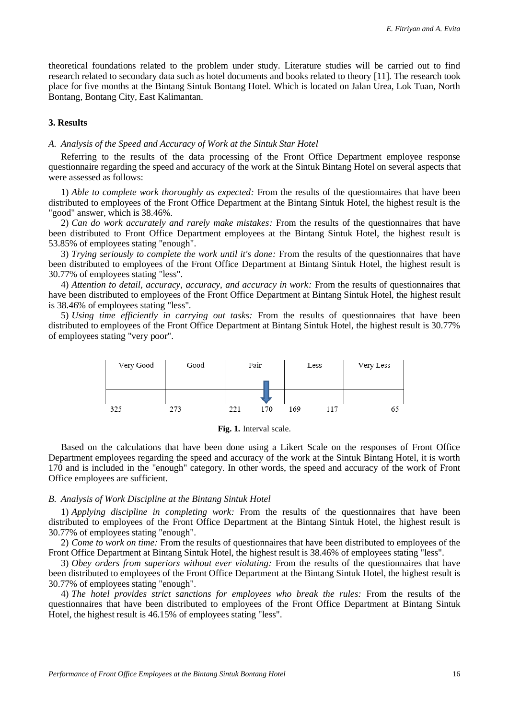theoretical foundations related to the problem under study. Literature studies will be carried out to find research related to secondary data such as hotel documents and books related to theory [11]. The research took place for five months at the Bintang Sintuk Bontang Hotel. Which is located on Jalan Urea, Lok Tuan, North Bontang, Bontang City, East Kalimantan.

## **3. Results**

## *A. Analysis of the Speed and Accuracy of Work at the Sintuk Star Hotel*

Referring to the results of the data processing of the Front Office Department employee response questionnaire regarding the speed and accuracy of the work at the Sintuk Bintang Hotel on several aspects that were assessed as follows:

1) *Able to complete work thoroughly as expected:* From the results of the questionnaires that have been distributed to employees of the Front Office Department at the Bintang Sintuk Hotel, the highest result is the "good" answer, which is 38.46%.

2) *Can do work accurately and rarely make mistakes:* From the results of the questionnaires that have been distributed to Front Office Department employees at the Bintang Sintuk Hotel, the highest result is 53.85% of employees stating "enough".

3) *Trying seriously to complete the work until it's done:* From the results of the questionnaires that have been distributed to employees of the Front Office Department at Bintang Sintuk Hotel, the highest result is 30.77% of employees stating "less".

4) *Attention to detail, accuracy, accuracy, and accuracy in work:* From the results of questionnaires that have been distributed to employees of the Front Office Department at Bintang Sintuk Hotel, the highest result is 38.46% of employees stating "less".

5) *Using time efficiently in carrying out tasks:* From the results of questionnaires that have been distributed to employees of the Front Office Department at Bintang Sintuk Hotel, the highest result is 30.77% of employees stating "very poor".



**Fig. 1.** Interval scale.

Based on the calculations that have been done using a Likert Scale on the responses of Front Office Department employees regarding the speed and accuracy of the work at the Sintuk Bintang Hotel, it is worth 170 and is included in the "enough" category. In other words, the speed and accuracy of the work of Front Office employees are sufficient.

#### *B. Analysis of Work Discipline at the Bintang Sintuk Hotel*

1) *Applying discipline in completing work:* From the results of the questionnaires that have been distributed to employees of the Front Office Department at the Bintang Sintuk Hotel, the highest result is 30.77% of employees stating "enough".

2) *Come to work on time:* From the results of questionnaires that have been distributed to employees of the Front Office Department at Bintang Sintuk Hotel, the highest result is 38.46% of employees stating "less".

3) *Obey orders from superiors without ever violating:* From the results of the questionnaires that have been distributed to employees of the Front Office Department at the Bintang Sintuk Hotel, the highest result is 30.77% of employees stating "enough".

4) *The hotel provides strict sanctions for employees who break the rules:* From the results of the questionnaires that have been distributed to employees of the Front Office Department at Bintang Sintuk Hotel, the highest result is 46.15% of employees stating "less".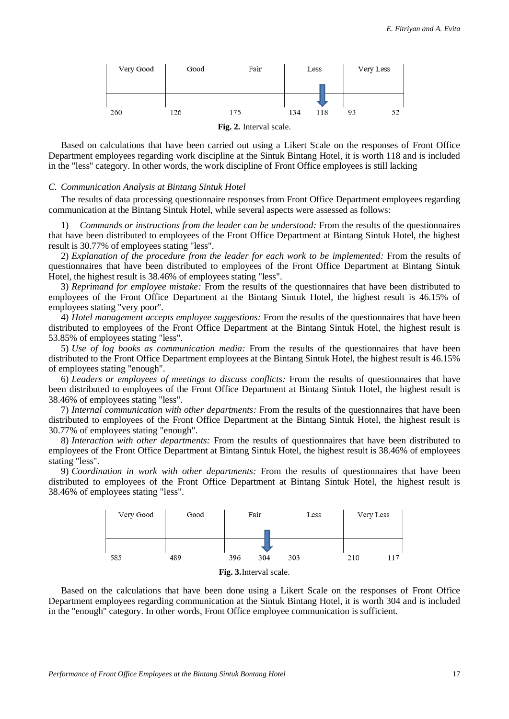

Based on calculations that have been carried out using a Likert Scale on the responses of Front Office Department employees regarding work discipline at the Sintuk Bintang Hotel, it is worth 118 and is included in the "less" category. In other words, the work discipline of Front Office employees is still lacking

#### *C. Communication Analysis at Bintang Sintuk Hotel*

The results of data processing questionnaire responses from Front Office Department employees regarding communication at the Bintang Sintuk Hotel, while several aspects were assessed as follows:

1) *Commands or instructions from the leader can be understood:* From the results of the questionnaires that have been distributed to employees of the Front Office Department at Bintang Sintuk Hotel, the highest result is 30.77% of employees stating "less".

2) *Explanation of the procedure from the leader for each work to be implemented:* From the results of questionnaires that have been distributed to employees of the Front Office Department at Bintang Sintuk Hotel, the highest result is 38.46% of employees stating "less".

3) *Reprimand for employee mistake:* From the results of the questionnaires that have been distributed to employees of the Front Office Department at the Bintang Sintuk Hotel, the highest result is 46.15% of employees stating "very poor".

4) *Hotel management accepts employee suggestions:* From the results of the questionnaires that have been distributed to employees of the Front Office Department at the Bintang Sintuk Hotel, the highest result is 53.85% of employees stating "less".

5) *Use of log books as communication media:* From the results of the questionnaires that have been distributed to the Front Office Department employees at the Bintang Sintuk Hotel, the highest result is 46.15% of employees stating "enough".

6) *Leaders or employees of meetings to discuss conflicts:* From the results of questionnaires that have been distributed to employees of the Front Office Department at Bintang Sintuk Hotel, the highest result is 38.46% of employees stating "less".

7) *Internal communication with other departments:* From the results of the questionnaires that have been distributed to employees of the Front Office Department at the Bintang Sintuk Hotel, the highest result is 30.77% of employees stating "enough".

8) *Interaction with other departments:* From the results of questionnaires that have been distributed to employees of the Front Office Department at Bintang Sintuk Hotel, the highest result is 38.46% of employees stating "less".

9) *Coordination in work with other departments:* From the results of questionnaires that have been distributed to employees of the Front Office Department at Bintang Sintuk Hotel, the highest result is 38.46% of employees stating "less".



**Fig. 3.**Interval scale.

Based on the calculations that have been done using a Likert Scale on the responses of Front Office Department employees regarding communication at the Sintuk Bintang Hotel, it is worth 304 and is included in the "enough" category. In other words, Front Office employee communication is sufficient.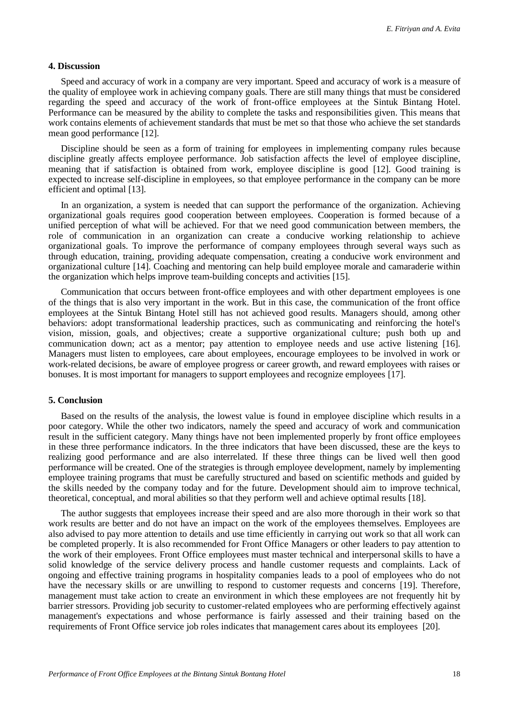## **4. Discussion**

Speed and accuracy of work in a company are very important. Speed and accuracy of work is a measure of the quality of employee work in achieving company goals. There are still many things that must be considered regarding the speed and accuracy of the work of front-office employees at the Sintuk Bintang Hotel. Performance can be measured by the ability to complete the tasks and responsibilities given. This means that work contains elements of achievement standards that must be met so that those who achieve the set standards mean good performance [12].

Discipline should be seen as a form of training for employees in implementing company rules because discipline greatly affects employee performance. Job satisfaction affects the level of employee discipline, meaning that if satisfaction is obtained from work, employee discipline is good [12]. Good training is expected to increase self-discipline in employees, so that employee performance in the company can be more efficient and optimal [13].

In an organization, a system is needed that can support the performance of the organization. Achieving organizational goals requires good cooperation between employees. Cooperation is formed because of a unified perception of what will be achieved. For that we need good communication between members, the role of communication in an organization can create a conducive working relationship to achieve organizational goals. To improve the performance of company employees through several ways such as through education, training, providing adequate compensation, creating a conducive work environment and organizational culture [14]. Coaching and mentoring can help build employee morale and camaraderie within the organization which helps improve team-building concepts and activities [15].

Communication that occurs between front-office employees and with other department employees is one of the things that is also very important in the work. But in this case, the communication of the front office employees at the Sintuk Bintang Hotel still has not achieved good results. Managers should, among other behaviors: adopt transformational leadership practices, such as communicating and reinforcing the hotel's vision, mission, goals, and objectives; create a supportive organizational culture; push both up and communication down; act as a mentor; pay attention to employee needs and use active listening [16]. Managers must listen to employees, care about employees, encourage employees to be involved in work or work-related decisions, be aware of employee progress or career growth, and reward employees with raises or bonuses. It is most important for managers to support employees and recognize employees [17].

## **5. Conclusion**

Based on the results of the analysis, the lowest value is found in employee discipline which results in a poor category. While the other two indicators, namely the speed and accuracy of work and communication result in the sufficient category. Many things have not been implemented properly by front office employees in these three performance indicators. In the three indicators that have been discussed, these are the keys to realizing good performance and are also interrelated. If these three things can be lived well then good performance will be created. One of the strategies is through employee development, namely by implementing employee training programs that must be carefully structured and based on scientific methods and guided by the skills needed by the company today and for the future. Development should aim to improve technical, theoretical, conceptual, and moral abilities so that they perform well and achieve optimal results [18].

The author suggests that employees increase their speed and are also more thorough in their work so that work results are better and do not have an impact on the work of the employees themselves. Employees are also advised to pay more attention to details and use time efficiently in carrying out work so that all work can be completed properly. It is also recommended for Front Office Managers or other leaders to pay attention to the work of their employees. Front Office employees must master technical and interpersonal skills to have a solid knowledge of the service delivery process and handle customer requests and complaints. Lack of ongoing and effective training programs in hospitality companies leads to a pool of employees who do not have the necessary skills or are unwilling to respond to customer requests and concerns [19]. Therefore, management must take action to create an environment in which these employees are not frequently hit by barrier stressors. Providing job security to customer-related employees who are performing effectively against management's expectations and whose performance is fairly assessed and their training based on the requirements of Front Office service job roles indicates that management cares about its employees [20].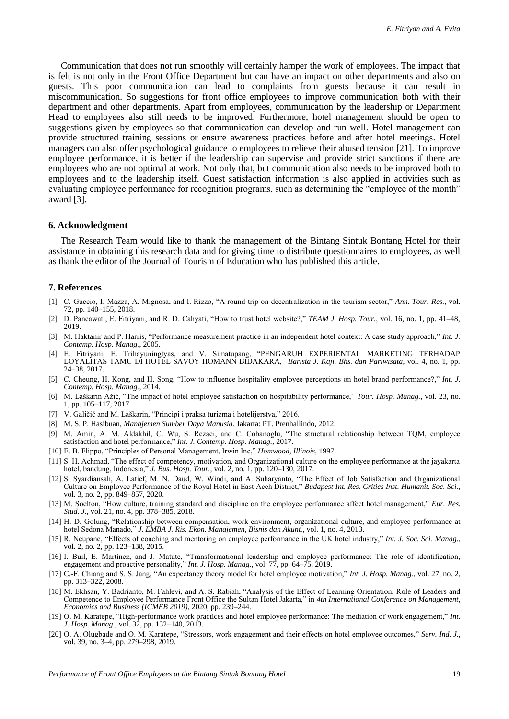Communication that does not run smoothly will certainly hamper the work of employees. The impact that is felt is not only in the Front Office Department but can have an impact on other departments and also on guests. This poor communication can lead to complaints from guests because it can result in miscommunication. So suggestions for front office employees to improve communication both with their department and other departments. Apart from employees, communication by the leadership or Department Head to employees also still needs to be improved. Furthermore, hotel management should be open to suggestions given by employees so that communication can develop and run well. Hotel management can provide structured training sessions or ensure awareness practices before and after hotel meetings. Hotel managers can also offer psychological guidance to employees to relieve their abused tension [21]. To improve employee performance, it is better if the leadership can supervise and provide strict sanctions if there are employees who are not optimal at work. Not only that, but communication also needs to be improved both to employees and to the leadership itself. Guest satisfaction information is also applied in activities such as evaluating employee performance for recognition programs, such as determining the "employee of the month" award [3].

#### **6. Acknowledgment**

The Research Team would like to thank the management of the Bintang Sintuk Bontang Hotel for their assistance in obtaining this research data and for giving time to distribute questionnaires to employees, as well as thank the editor of the Journal of Tourism of Education who has published this article.

#### **7. References**

- [1] C. Guccio, I. Mazza, A. Mignosa, and I. Rizzo, "A round trip on decentralization in the tourism sector," *Ann. Tour. Res.*, vol. 72, pp. 140–155, 2018.
- [2] D. Pancawati, E. Fitriyani, and R. D. Cahyati, "How to trust hotel website?," *TEAM J. Hosp. Tour.*, vol. 16, no. 1, pp. 41–48, 2019.
- [3] M. Haktanir and P. Harris, "Performance measurement practice in an independent hotel context: A case study approach," *Int. J. Contemp. Hosp. Manag.*, 2005.
- [4] E. Fitriyani, E. Trihayuningtyas, and V. Simatupang, "PENGARUH EXPERIENTAL MARKETING TERHADAP LOYALITAS TAMU DI HOTEL SAVOY HOMANN BIDAKARA," *Barista J. Kaji. Bhs. dan Pariwisata*, vol. 4, no. 1, pp. 24–38, 2017.
- [5] C. Cheung, H. Kong, and H. Song, "How to influence hospitality employee perceptions on hotel brand performance?," *Int. J. Contemp. Hosp. Manag.*, 2014.
- [6] M. Laškarin Ažić, "The impact of hotel employee satisfaction on hospitability performance," *Tour. Hosp. Manag.*, vol. 23, no. 1, pp. 105–117, 2017.
- [7] V. Galičić and M. Laškarin, "Principi i praksa turizma i hotelijerstva," 2016.
- [8] M. S. P. Hasibuan, *Manajemen Sumber Daya Manusia*. Jakarta: PT. Prenhallindo, 2012.
- [9] M. Amin, A. M. Aldakhil, C. Wu, S. Rezaei, and C. Cobanoglu, "The structural relationship between TQM, employee satisfaction and hotel performance," *Int. J. Contemp. Hosp. Manag.*, 2017.
- [10] E. B. Flippo, "Principles of Personal Management, Irwin Inc," *Homwood, Illinois*, 1997.
- [11] S. H. Achmad, "The effect of competency, motivation, and Organizational culture on the employee performance at the jayakarta hotel, bandung, Indonesia," *J. Bus. Hosp. Tour.*, vol. 2, no. 1, pp. 120–130, 2017.
- [12] S. Syardiansah, A. Latief, M. N. Daud, W. Windi, and A. Suharyanto, "The Effect of Job Satisfaction and Organizational Culture on Employee Performance of the Royal Hotel in East Aceh District," *Budapest Int. Res. Critics Inst. Humanit. Soc. Sci.*, vol. 3, no. 2, pp. 849–857, 2020.
- [13] M. Soelton, "How culture, training standard and discipline on the employee performance affect hotel management," *Eur. Res. Stud. J.*, vol. 21, no. 4, pp. 378–385, 2018.
- [14] H. D. Golung, "Relationship between compensation, work environment, organizational culture, and employee performance at hotel Sedona Manado," *J. EMBA J. Ris. Ekon. Manajemen, Bisnis dan Akunt.*, vol. 1, no. 4, 2013.
- [15] R. Neupane, "Effects of coaching and mentoring on employee performance in the UK hotel industry," *Int. J. Soc. Sci. Manag.*, vol. 2, no. 2, pp. 123–138, 2015.
- [16] I. Buil, E. Martínez, and J. Matute, "Transformational leadership and employee performance: The role of identification, engagement and proactive personality," *Int. J. Hosp. Manag.*, vol. 77, pp. 64–75, 2019.
- [17] C.-F. Chiang and S. S. Jang, "An expectancy theory model for hotel employee motivation," *Int. J. Hosp. Manag.*, vol. 27, no. 2, pp. 313–322, 2008.
- [18] M. Ekhsan, Y. Badrianto, M. Fahlevi, and A. S. Rabiah, "Analysis of the Effect of Learning Orientation, Role of Leaders and Competence to Employee Performance Front Office the Sultan Hotel Jakarta," in *4th International Conference on Management, Economics and Business (ICMEB 2019)*, 2020, pp. 239–244.
- [19] O. M. Karatepe, "High-performance work practices and hotel employee performance: The mediation of work engagement," *Int. J. Hosp. Manag.*, vol. 32, pp. 132–140, 2013.
- [20] O. A. Olugbade and O. M. Karatepe, "Stressors, work engagement and their effects on hotel employee outcomes," *Serv. Ind. J.*, vol. 39, no. 3–4, pp. 279–298, 2019.